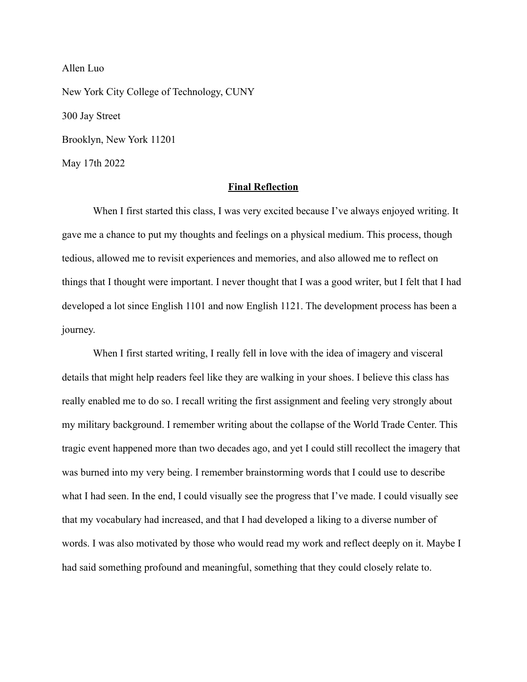Allen Luo New York City College of Technology, CUNY 300 Jay Street Brooklyn, New York 11201 May 17th 2022

## **Final Reflection**

When I first started this class, I was very excited because I've always enjoyed writing. It gave me a chance to put my thoughts and feelings on a physical medium. This process, though tedious, allowed me to revisit experiences and memories, and also allowed me to reflect on things that I thought were important. I never thought that I was a good writer, but I felt that I had developed a lot since English 1101 and now English 1121. The development process has been a journey.

When I first started writing, I really fell in love with the idea of imagery and visceral details that might help readers feel like they are walking in your shoes. I believe this class has really enabled me to do so. I recall writing the first assignment and feeling very strongly about my military background. I remember writing about the collapse of the World Trade Center. This tragic event happened more than two decades ago, and yet I could still recollect the imagery that was burned into my very being. I remember brainstorming words that I could use to describe what I had seen. In the end, I could visually see the progress that I've made. I could visually see that my vocabulary had increased, and that I had developed a liking to a diverse number of words. I was also motivated by those who would read my work and reflect deeply on it. Maybe I had said something profound and meaningful, something that they could closely relate to.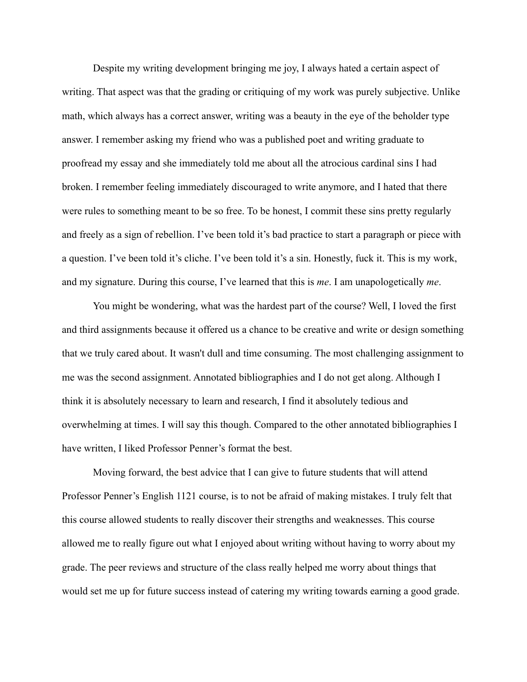Despite my writing development bringing me joy, I always hated a certain aspect of writing. That aspect was that the grading or critiquing of my work was purely subjective. Unlike math, which always has a correct answer, writing was a beauty in the eye of the beholder type answer. I remember asking my friend who was a published poet and writing graduate to proofread my essay and she immediately told me about all the atrocious cardinal sins I had broken. I remember feeling immediately discouraged to write anymore, and I hated that there were rules to something meant to be so free. To be honest, I commit these sins pretty regularly and freely as a sign of rebellion. I've been told it's bad practice to start a paragraph or piece with a question. I've been told it's cliche. I've been told it's a sin. Honestly, fuck it. This is my work, and my signature. During this course, I've learned that this is *me*. I am unapologetically *me*.

You might be wondering, what was the hardest part of the course? Well, I loved the first and third assignments because it offered us a chance to be creative and write or design something that we truly cared about. It wasn't dull and time consuming. The most challenging assignment to me was the second assignment. Annotated bibliographies and I do not get along. Although I think it is absolutely necessary to learn and research, I find it absolutely tedious and overwhelming at times. I will say this though. Compared to the other annotated bibliographies I have written, I liked Professor Penner's format the best.

Moving forward, the best advice that I can give to future students that will attend Professor Penner's English 1121 course, is to not be afraid of making mistakes. I truly felt that this course allowed students to really discover their strengths and weaknesses. This course allowed me to really figure out what I enjoyed about writing without having to worry about my grade. The peer reviews and structure of the class really helped me worry about things that would set me up for future success instead of catering my writing towards earning a good grade.